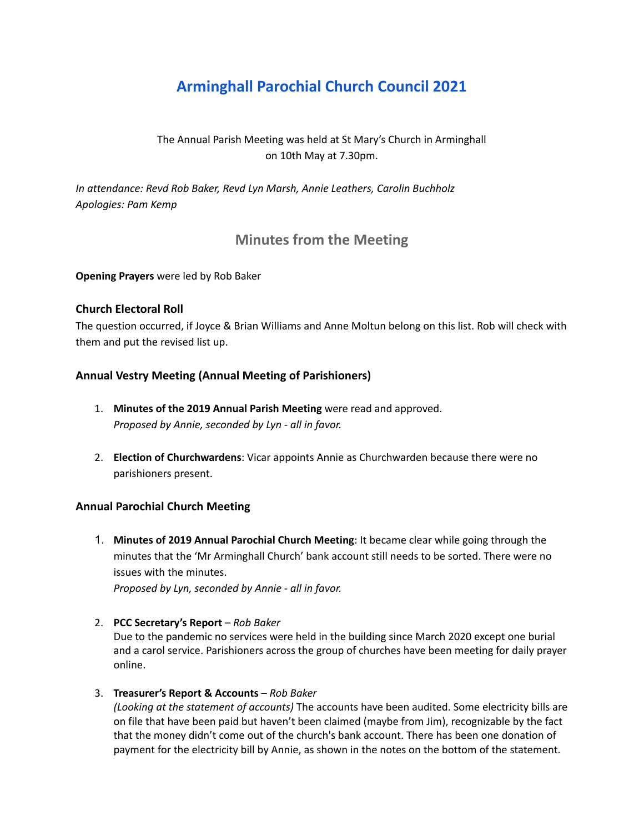# **Arminghall Parochial Church Council 2021**

## The Annual Parish Meeting was held at St Mary's Church in Arminghall on 10th May at 7.30pm.

*In attendance: Revd Rob Baker, Revd Lyn Marsh, Annie Leathers, Carolin Buchholz Apologies: Pam Kemp*

## **Minutes from the Meeting**

**Opening Prayers** were led by Rob Baker

## **Church Electoral Roll**

The question occurred, if Joyce & Brian Williams and Anne Moltun belong on this list. Rob will check with them and put the revised list up.

## **Annual Vestry Meeting (Annual Meeting of Parishioners)**

- 1. **Minutes of the 2019 Annual Parish Meeting** were read and approved. *Proposed by Annie, seconded by Lyn - all in favor.*
- 2. **Election of Churchwardens**: Vicar appoints Annie as Churchwarden because there were no parishioners present.

## **Annual Parochial Church Meeting**

1. **Minutes of 2019 Annual Parochial Church Meeting**: It became clear while going through the minutes that the 'Mr Arminghall Church' bank account still needs to be sorted. There were no issues with the minutes.

*Proposed by Lyn, seconded by Annie - all in favor.*

#### 2. **PCC Secretary's Report** – *Rob Baker*

Due to the pandemic no services were held in the building since March 2020 except one burial and a carol service. Parishioners across the group of churches have been meeting for daily prayer online.

#### 3. **Treasurer's Report & Accounts** – *Rob Baker*

*(Looking at the statement of accounts)* The accounts have been audited. Some electricity bills are on file that have been paid but haven't been claimed (maybe from Jim), recognizable by the fact that the money didn't come out of the church's bank account. There has been one donation of payment for the electricity bill by Annie, as shown in the notes on the bottom of the statement.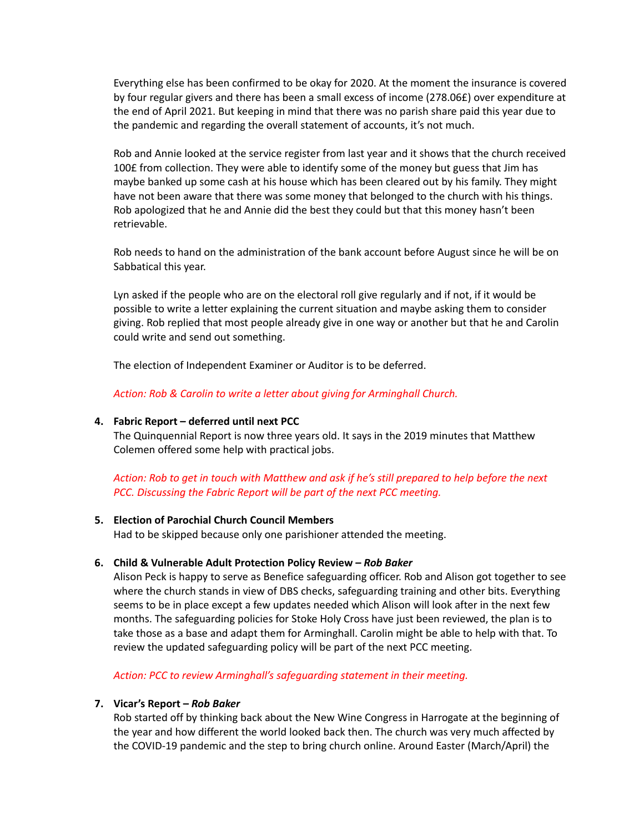Everything else has been confirmed to be okay for 2020. At the moment the insurance is covered by four regular givers and there has been a small excess of income (278.06£) over expenditure at the end of April 2021. But keeping in mind that there was no parish share paid this year due to the pandemic and regarding the overall statement of accounts, it's not much.

Rob and Annie looked at the service register from last year and it shows that the church received 100£ from collection. They were able to identify some of the money but guess that Jim has maybe banked up some cash at his house which has been cleared out by his family. They might have not been aware that there was some money that belonged to the church with his things. Rob apologized that he and Annie did the best they could but that this money hasn't been retrievable.

Rob needs to hand on the administration of the bank account before August since he will be on Sabbatical this year.

Lyn asked if the people who are on the electoral roll give regularly and if not, if it would be possible to write a letter explaining the current situation and maybe asking them to consider giving. Rob replied that most people already give in one way or another but that he and Carolin could write and send out something.

The election of Independent Examiner or Auditor is to be deferred.

*Action: Rob & Carolin to write a letter about giving for Arminghall Church.*

#### **4. Fabric Report – deferred until next PCC**

The Quinquennial Report is now three years old. It says in the 2019 minutes that Matthew Colemen offered some help with practical jobs.

Action: Rob to get in touch with Matthew and ask if he's still prepared to help before the next *PCC. Discussing the Fabric Report will be part of the next PCC meeting.*

#### **5. Election of Parochial Church Council Members**

Had to be skipped because only one parishioner attended the meeting.

#### **6. Child & Vulnerable Adult Protection Policy Review –** *Rob Baker*

Alison Peck is happy to serve as Benefice safeguarding officer. Rob and Alison got together to see where the church stands in view of DBS checks, safeguarding training and other bits. Everything seems to be in place except a few updates needed which Alison will look after in the next few months. The safeguarding policies for Stoke Holy Cross have just been reviewed, the plan is to take those as a base and adapt them for Arminghall. Carolin might be able to help with that. To review the updated safeguarding policy will be part of the next PCC meeting.

*Action: PCC to review Arminghall's safeguarding statement in their meeting.*

#### **7. Vicar's Report –** *Rob Baker*

Rob started off by thinking back about the New Wine Congress in Harrogate at the beginning of the year and how different the world looked back then. The church was very much affected by the COVID-19 pandemic and the step to bring church online. Around Easter (March/April) the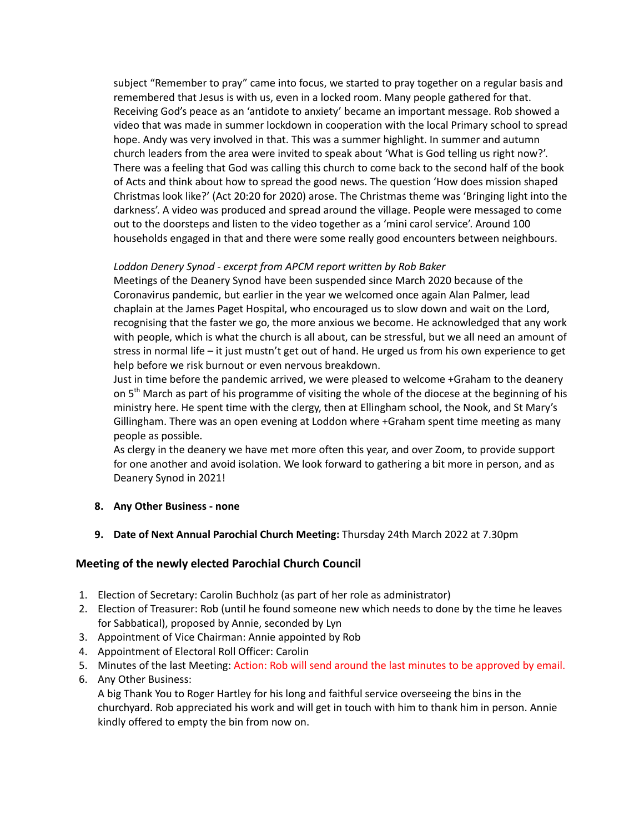subject "Remember to pray" came into focus, we started to pray together on a regular basis and remembered that Jesus is with us, even in a locked room. Many people gathered for that. Receiving God's peace as an 'antidote to anxiety' became an important message. Rob showed a video that was made in summer lockdown in cooperation with the local Primary school to spread hope. Andy was very involved in that. This was a summer highlight. In summer and autumn church leaders from the area were invited to speak about 'What is God telling us right now?'. There was a feeling that God was calling this church to come back to the second half of the book of Acts and think about how to spread the good news. The question 'How does mission shaped Christmas look like?' (Act 20:20 for 2020) arose. The Christmas theme was 'Bringing light into the darkness'. A video was produced and spread around the village. People were messaged to come out to the doorsteps and listen to the video together as a 'mini carol service'. Around 100 households engaged in that and there were some really good encounters between neighbours.

### *Loddon Denery Synod - excerpt from APCM report written by Rob Baker*

Meetings of the Deanery Synod have been suspended since March 2020 because of the Coronavirus pandemic, but earlier in the year we welcomed once again Alan Palmer, lead chaplain at the James Paget Hospital, who encouraged us to slow down and wait on the Lord, recognising that the faster we go, the more anxious we become. He acknowledged that any work with people, which is what the church is all about, can be stressful, but we all need an amount of stress in normal life – it just mustn't get out of hand. He urged us from his own experience to get help before we risk burnout or even nervous breakdown.

Just in time before the pandemic arrived, we were pleased to welcome +Graham to the deanery on 5<sup>th</sup> March as part of his programme of visiting the whole of the diocese at the beginning of his ministry here. He spent time with the clergy, then at Ellingham school, the Nook, and St Mary's Gillingham. There was an open evening at Loddon where +Graham spent time meeting as many people as possible.

As clergy in the deanery we have met more often this year, and over Zoom, to provide support for one another and avoid isolation. We look forward to gathering a bit more in person, and as Deanery Synod in 2021!

#### **8. Any Other Business - none**

#### **9. Date of Next Annual Parochial Church Meeting:** Thursday 24th March 2022 at 7.30pm

## **Meeting of the newly elected Parochial Church Council**

- 1. Election of Secretary: Carolin Buchholz (as part of her role as administrator)
- 2. Election of Treasurer: Rob (until he found someone new which needs to done by the time he leaves for Sabbatical), proposed by Annie, seconded by Lyn
- 3. Appointment of Vice Chairman: Annie appointed by Rob
- 4. Appointment of Electoral Roll Officer: Carolin
- 5. Minutes of the last Meeting: Action: Rob will send around the last minutes to be approved by email.
- 6. Any Other Business:

A big Thank You to Roger Hartley for his long and faithful service overseeing the bins in the churchyard. Rob appreciated his work and will get in touch with him to thank him in person. Annie kindly offered to empty the bin from now on.